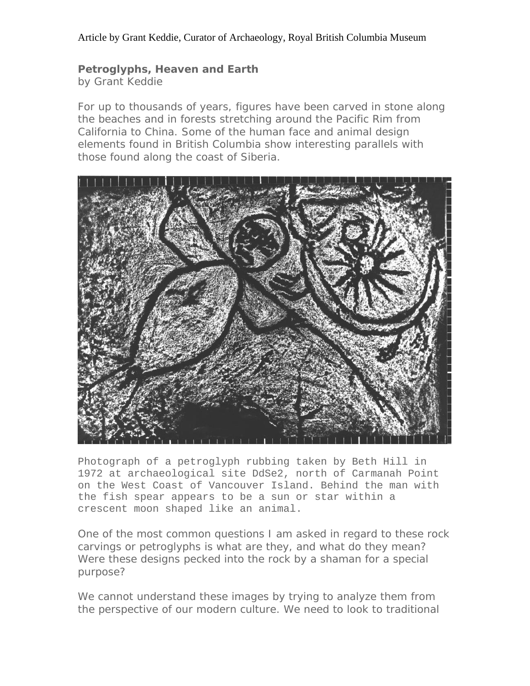## **Petroglyphs, Heaven and Earth**

by Grant Keddie

For up to thousands of years, figures have been carved in stone along the beaches and in forests stretching around the Pacific Rim from California to China. Some of the human face and animal design elements found in British Columbia show interesting parallels with those found along the coast of Siberia.



Photograph of a petroglyph rubbing taken by Beth Hill in 1972 at archaeological site DdSe2, north of Carmanah Point on the West Coast of Vancouver Island. Behind the man with the fish spear appears to be a sun or star within a crescent moon shaped like an animal.

One of the most common questions I am asked in regard to these rock carvings or petroglyphs is what are they, and what do they mean? Were these designs pecked into the rock by a shaman for a special purpose?

We cannot understand these images by trying to analyze them from the perspective of our modern culture. We need to look to traditional